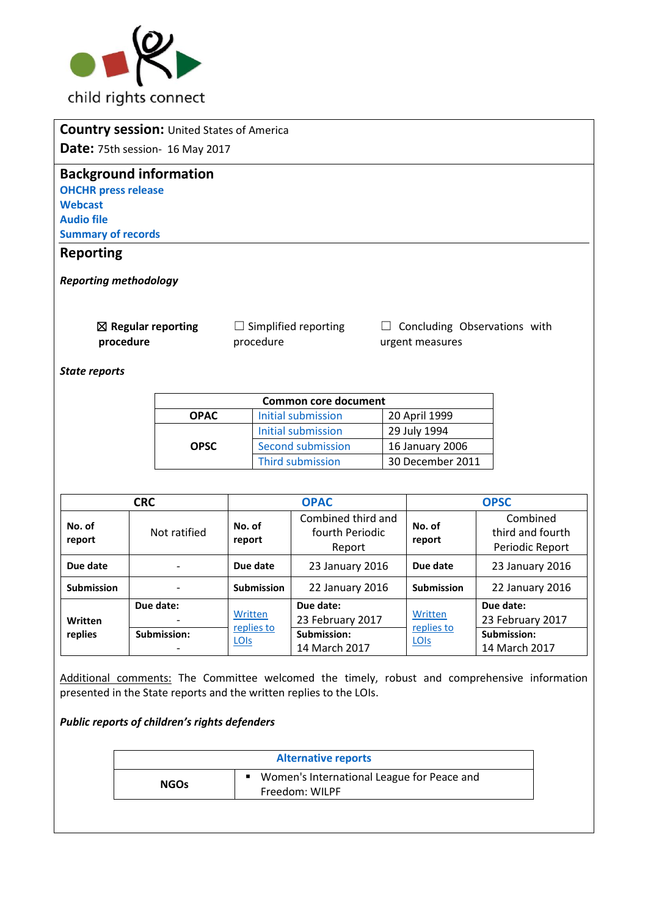

| <b>Country session: United States of America</b> |             |                                          |                                                 |  |  |  |  |
|--------------------------------------------------|-------------|------------------------------------------|-------------------------------------------------|--|--|--|--|
| <b>Date:</b> 75th session- 16 May 2017           |             |                                          |                                                 |  |  |  |  |
| <b>Background information</b>                    |             |                                          |                                                 |  |  |  |  |
| <b>OHCHR press release</b>                       |             |                                          |                                                 |  |  |  |  |
| <b>Webcast</b>                                   |             |                                          |                                                 |  |  |  |  |
| <b>Audio file</b>                                |             |                                          |                                                 |  |  |  |  |
| <b>Summary of records</b>                        |             |                                          |                                                 |  |  |  |  |
| <b>Reporting</b>                                 |             |                                          |                                                 |  |  |  |  |
| <b>Reporting methodology</b>                     |             |                                          |                                                 |  |  |  |  |
| $\boxtimes$ Regular reporting<br>procedure       |             | $\Box$ Simplified reporting<br>procedure | Concluding Observations with<br>urgent measures |  |  |  |  |
| <b>State reports</b>                             |             |                                          |                                                 |  |  |  |  |
|                                                  |             | <b>Common core document</b>              |                                                 |  |  |  |  |
|                                                  | <b>OPAC</b> | Initial submission                       | 20 April 1999                                   |  |  |  |  |
|                                                  |             | Initial submission                       | 29 July 1994                                    |  |  |  |  |

|                    | <b>CRC</b>               |                               | <b>OPAC</b>                                                   |                               | <b>OPSC</b>                                                   |
|--------------------|--------------------------|-------------------------------|---------------------------------------------------------------|-------------------------------|---------------------------------------------------------------|
| No. of<br>report   | Not ratified             | No. of<br>report              | Combined third and<br>fourth Periodic<br>Report               | No. of<br>report              | Combined<br>third and fourth<br>Periodic Report               |
| Due date           |                          | Due date                      | 23 January 2016                                               | Due date                      | 23 January 2016                                               |
| <b>Submission</b>  |                          | <b>Submission</b>             | 22 January 2016                                               | <b>Submission</b>             | 22 January 2016                                               |
| Written<br>replies | Due date:<br>Submission: | Written<br>replies to<br>LOIS | Due date:<br>23 February 2017<br>Submission:<br>14 March 2017 | Written<br>replies to<br>LOIS | Due date:<br>23 February 2017<br>Submission:<br>14 March 2017 |

[Second submission](http://tbinternet.ohchr.org/_layouts/treatybodyexternal/Download.aspx?symbolno=HRI%2fCORE%2fUSA%2f2005&Lang=en) 16 January 2006 [Third submission](http://tbinternet.ohchr.org/_layouts/treatybodyexternal/Download.aspx?symbolno=HRI%2fCORE%2fUSA%2f2011&Lang=en) 30 December 2011

Additional comments: The Committee welcomed the timely, robust and comprehensive information presented in the State reports and the written replies to the LOIs.

*Public reports of children's rights defenders* 

**OPSC**

| <b>Alternative reports</b> |                                                              |  |
|----------------------------|--------------------------------------------------------------|--|
| <b>NGOs</b>                | Women's International League for Peace and<br>Freedom: WILPF |  |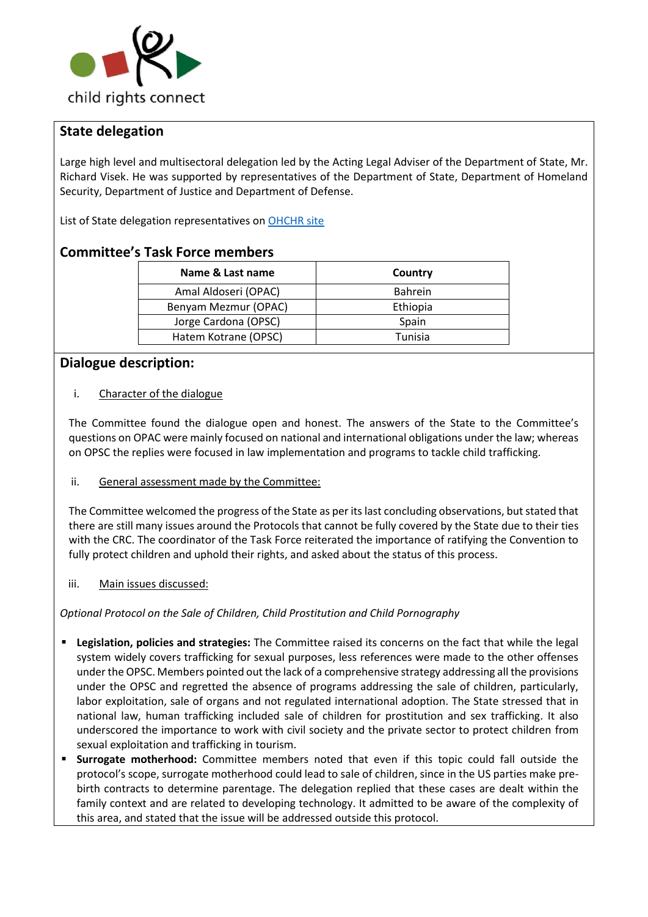

# **State delegation**

Large high level and multisectoral delegation led by the Acting Legal Adviser of the Department of State, Mr. Richard Visek. He was supported by representatives of the Department of State, Department of Homeland Security, Department of Justice and Department of Defense.

List of State delegation representatives o[n OHCHR site](http://tbinternet.ohchr.org/_layouts/treatybodyexternal/Download.aspx?symbolno=INT%2fCRC-OP-AC%2fLOP%2fUSA%2f27479&Lang=en) 

## **Committee's Task Force members**

| Name & Last name     | Country        |
|----------------------|----------------|
| Amal Aldoseri (OPAC) | <b>Bahrein</b> |
| Benyam Mezmur (OPAC) | Ethiopia       |
| Jorge Cardona (OPSC) | Spain          |
| Hatem Kotrane (OPSC) | Tunisia        |

## **Dialogue description:**

### i. Character of the dialogue

The Committee found the dialogue open and honest. The answers of the State to the Committee's questions on OPAC were mainly focused on national and international obligations under the law; whereas on OPSC the replies were focused in law implementation and programs to tackle child trafficking.

#### ii. General assessment made by the Committee:

The Committee welcomed the progress of the State as per its last concluding observations, but stated that there are still many issues around the Protocols that cannot be fully covered by the State due to their ties with the CRC. The coordinator of the Task Force reiterated the importance of ratifying the Convention to fully protect children and uphold their rights, and asked about the status of this process.

#### iii. Main issues discussed:

### *Optional Protocol on the Sale of Children, Child Prostitution and Child Pornography*

- **Legislation, policies and strategies:** The Committee raised its concerns on the fact that while the legal system widely covers trafficking for sexual purposes, less references were made to the other offenses under the OPSC. Members pointed out the lack of a comprehensive strategy addressing all the provisions under the OPSC and regretted the absence of programs addressing the sale of children, particularly, labor exploitation, sale of organs and not regulated international adoption. The State stressed that in national law, human trafficking included sale of children for prostitution and sex trafficking. It also underscored the importance to work with civil society and the private sector to protect children from sexual exploitation and trafficking in tourism.
- **Surrogate motherhood:** Committee members noted that even if this topic could fall outside the protocol's scope, surrogate motherhood could lead to sale of children, since in the US parties make prebirth contracts to determine parentage. The delegation replied that these cases are dealt within the family context and are related to developing technology. It admitted to be aware of the complexity of this area, and stated that the issue will be addressed outside this protocol.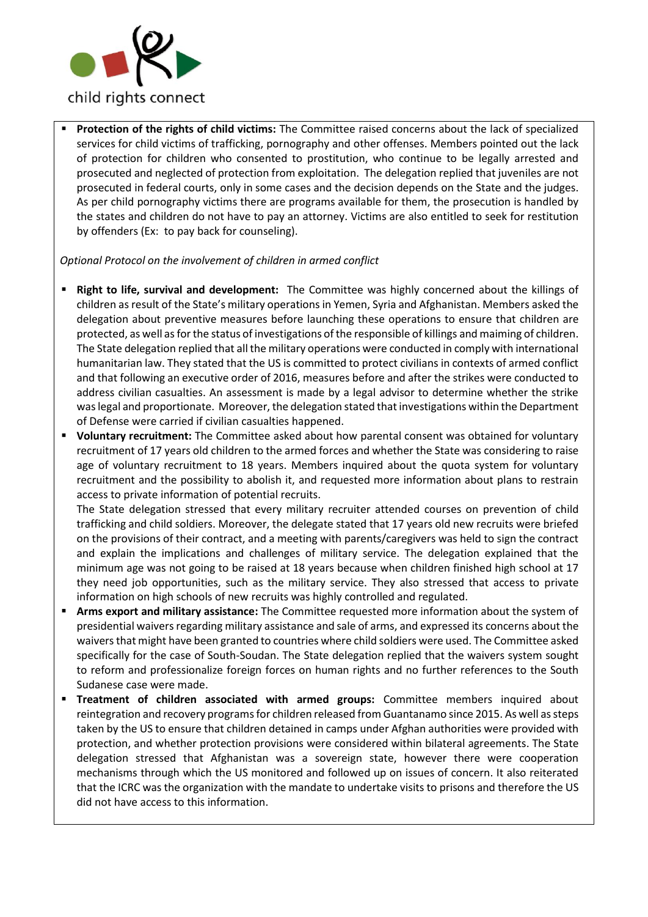

Protection of the rights of child victims: The Committee raised concerns about the lack of specialized services for child victims of trafficking, pornography and other offenses. Members pointed out the lack of protection for children who consented to prostitution, who continue to be legally arrested and prosecuted and neglected of protection from exploitation. The delegation replied that juveniles are not prosecuted in federal courts, only in some cases and the decision depends on the State and the judges. As per child pornography victims there are programs available for them, the prosecution is handled by the states and children do not have to pay an attorney. Victims are also entitled to seek for restitution by offenders (Ex: to pay back for counseling).

*Optional Protocol on the involvement of children in armed conflict*

- **Right to life, survival and development:** The Committee was highly concerned about the killings of children as result of the State's military operations in Yemen, Syria and Afghanistan. Members asked the delegation about preventive measures before launching these operations to ensure that children are protected, as well as for the status of investigations of the responsible of killings and maiming of children. The State delegation replied that all the military operations were conducted in comply with international humanitarian law. They stated that the US is committed to protect civilians in contexts of armed conflict and that following an executive order of 2016, measures before and after the strikes were conducted to address civilian casualties. An assessment is made by a legal advisor to determine whether the strike was legal and proportionate. Moreover, the delegation stated that investigations within the Department of Defense were carried if civilian casualties happened.
- **Voluntary recruitment:** The Committee asked about how parental consent was obtained for voluntary recruitment of 17 years old children to the armed forces and whether the State was considering to raise age of voluntary recruitment to 18 years. Members inquired about the quota system for voluntary recruitment and the possibility to abolish it, and requested more information about plans to restrain access to private information of potential recruits.

The State delegation stressed that every military recruiter attended courses on prevention of child trafficking and child soldiers. Moreover, the delegate stated that 17 years old new recruits were briefed on the provisions of their contract, and a meeting with parents/caregivers was held to sign the contract and explain the implications and challenges of military service. The delegation explained that the minimum age was not going to be raised at 18 years because when children finished high school at 17 they need job opportunities, such as the military service. They also stressed that access to private information on high schools of new recruits was highly controlled and regulated.

- Arms export and military assistance: The Committee requested more information about the system of presidential waivers regarding military assistance and sale of arms, and expressed its concerns about the waivers that might have been granted to countries where child soldiers were used. The Committee asked specifically for the case of South-Soudan. The State delegation replied that the waivers system sought to reform and professionalize foreign forces on human rights and no further references to the South Sudanese case were made.
- **Treatment of children associated with armed groups:** Committee members inquired about reintegration and recovery programs for children released from Guantanamo since 2015. As well as steps taken by the US to ensure that children detained in camps under Afghan authorities were provided with protection, and whether protection provisions were considered within bilateral agreements. The State delegation stressed that Afghanistan was a sovereign state, however there were cooperation mechanisms through which the US monitored and followed up on issues of concern. It also reiterated that the ICRC was the organization with the mandate to undertake visits to prisons and therefore the US did not have access to this information.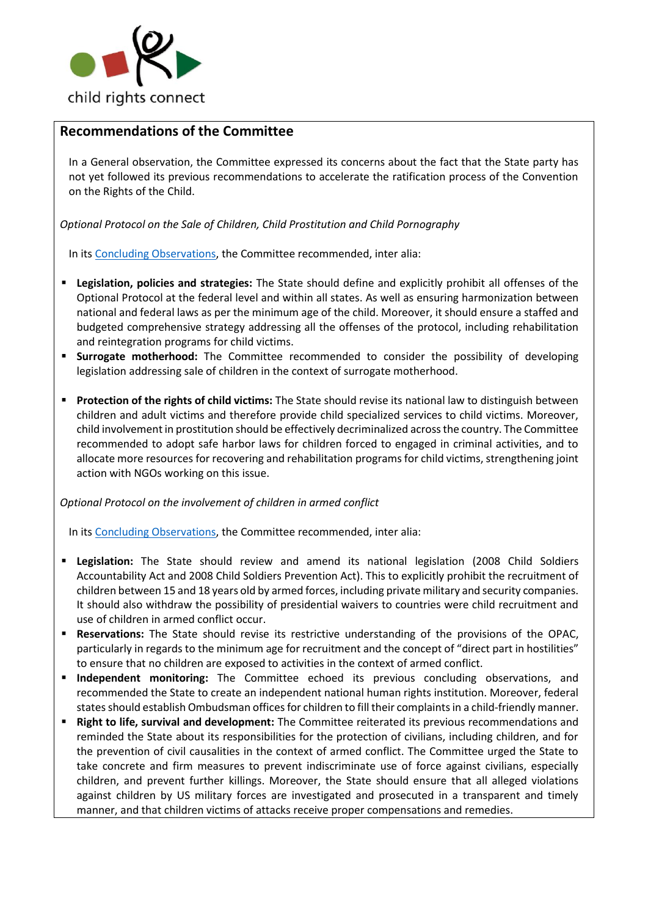

## **Recommendations of the Committee**

In a General observation, the Committee expressed its concerns about the fact that the State party has not yet followed its previous recommendations to accelerate the ratification process of the Convention on the Rights of the Child.

*Optional Protocol on the Sale of Children, Child Prostitution and Child Pornography*

In its [Concluding Observations,](http://tbinternet.ohchr.org/_layouts/treatybodyexternal/Download.aspx?symbolno=CRC%2fC%2fOPSC%2fUSA%2fCO%2f3-4&Lang=en) the Committee recommended, inter alia:

- **Legislation, policies and strategies:** The State should define and explicitly prohibit all offenses of the Optional Protocol at the federal level and within all states. As well as ensuring harmonization between national and federal laws as per the minimum age of the child. Moreover, it should ensure a staffed and budgeted comprehensive strategy addressing all the offenses of the protocol, including rehabilitation and reintegration programs for child victims.
- **Example is on Surrogate motherhood:** The Committee recommended to consider the possibility of developing legislation addressing sale of children in the context of surrogate motherhood.
- **Protection of the rights of child victims:** The State should revise its national law to distinguish between children and adult victims and therefore provide child specialized services to child victims. Moreover, child involvement in prostitution should be effectively decriminalized across the country. The Committee recommended to adopt safe harbor laws for children forced to engaged in criminal activities, and to allocate more resources for recovering and rehabilitation programs for child victims, strengthening joint action with NGOs working on this issue.

*Optional Protocol on the involvement of children in armed conflict*

In its [Concluding Observations,](http://tbinternet.ohchr.org/_layouts/treatybodyexternal/Download.aspx?symbolno=CRC%2fC%2fOPSC%2fUSA%2fCO%2f3-4&Lang=en) the Committee recommended, inter alia:

- **Example 1** Legislation: The State should review and amend its national legislation (2008 Child Soldiers Accountability Act and 2008 Child Soldiers Prevention Act). This to explicitly prohibit the recruitment of children between 15 and 18 years old by armed forces, including private military and security companies. It should also withdraw the possibility of presidential waivers to countries were child recruitment and use of children in armed conflict occur.
- **Reservations:** The State should revise its restrictive understanding of the provisions of the OPAC, particularly in regards to the minimum age for recruitment and the concept of "direct part in hostilities" to ensure that no children are exposed to activities in the context of armed conflict.
- **Independent monitoring:** The Committee echoed its previous concluding observations, and recommended the State to create an independent national human rights institution. Moreover, federal states should establish Ombudsman offices for children to fill their complaints in a child-friendly manner.
- **Right to life, survival and development:** The Committee reiterated its previous recommendations and reminded the State about its responsibilities for the protection of civilians, including children, and for the prevention of civil causalities in the context of armed conflict. The Committee urged the State to take concrete and firm measures to prevent indiscriminate use of force against civilians, especially children, and prevent further killings. Moreover, the State should ensure that all alleged violations against children by US military forces are investigated and prosecuted in a transparent and timely manner, and that children victims of attacks receive proper compensations and remedies.